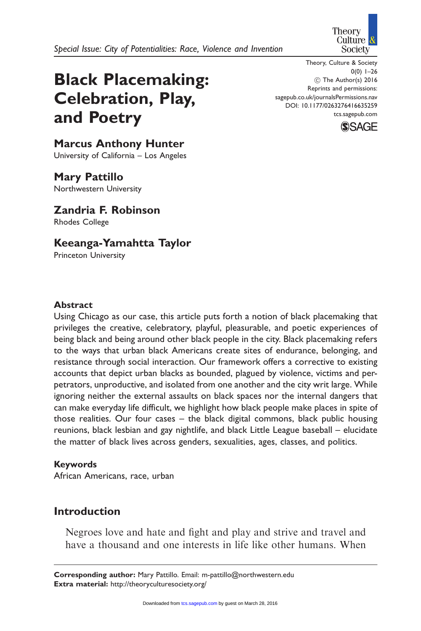



# Black Placemaking: Celebration, Play, and Poetry

Theory, Culture & Society  $0(0)$  1–26 ! The Author(s) 2016 Reprints and permissions: sagepub.co.uk/journalsPermissions.nav DOI: 10.1177/0263276416635259 tcs.sagepub.com



Marcus Anthony Hunter University of California – Los Angeles

Mary Pattillo Northwestern University

Zandria F. Robinson Rhodes College

# Keeanga-Yamahtta Taylor

Princeton University

#### **Abstract**

Using Chicago as our case, this article puts forth a notion of black placemaking that privileges the creative, celebratory, playful, pleasurable, and poetic experiences of being black and being around other black people in the city. Black placemaking refers to the ways that urban black Americans create sites of endurance, belonging, and resistance through social interaction. Our framework offers a corrective to existing accounts that depict urban blacks as bounded, plagued by violence, victims and perpetrators, unproductive, and isolated from one another and the city writ large. While ignoring neither the external assaults on black spaces nor the internal dangers that can make everyday life difficult, we highlight how black people make places in spite of those realities. Our four cases – the black digital commons, black public housing reunions, black lesbian and gay nightlife, and black Little League baseball – elucidate the matter of black lives across genders, sexualities, ages, classes, and politics.

#### Keywords

African Americans, race, urban

# Introduction

Negroes love and hate and fight and play and strive and travel and have a thousand and one interests in life like other humans. When

Corresponding author: Mary Pattillo. Email: m-pattillo@northwestern.edu Extra material: http://theoryculturesociety.org/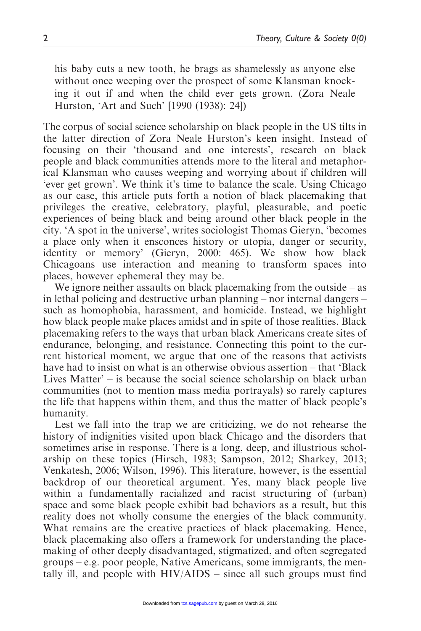his baby cuts a new tooth, he brags as shamelessly as anyone else without once weeping over the prospect of some Klansman knocking it out if and when the child ever gets grown. (Zora Neale Hurston, 'Art and Such' [1990 (1938): 24])

The corpus of social science scholarship on black people in the US tilts in the latter direction of Zora Neale Hurston's keen insight. Instead of focusing on their 'thousand and one interests', research on black people and black communities attends more to the literal and metaphorical Klansman who causes weeping and worrying about if children will 'ever get grown'. We think it's time to balance the scale. Using Chicago as our case, this article puts forth a notion of black placemaking that privileges the creative, celebratory, playful, pleasurable, and poetic experiences of being black and being around other black people in the city. 'A spot in the universe', writes sociologist Thomas Gieryn, 'becomes a place only when it ensconces history or utopia, danger or security, identity or memory' (Gieryn, 2000: 465). We show how black Chicagoans use interaction and meaning to transform spaces into places, however ephemeral they may be.

We ignore neither assaults on black placemaking from the outside – as in lethal policing and destructive urban planning – nor internal dangers – such as homophobia, harassment, and homicide. Instead, we highlight how black people make places amidst and in spite of those realities. Black placemaking refers to the ways that urban black Americans create sites of endurance, belonging, and resistance. Connecting this point to the current historical moment, we argue that one of the reasons that activists have had to insist on what is an otherwise obvious assertion – that 'Black Lives Matter' – is because the social science scholarship on black urban communities (not to mention mass media portrayals) so rarely captures the life that happens within them, and thus the matter of black people's humanity.

Lest we fall into the trap we are criticizing, we do not rehearse the history of indignities visited upon black Chicago and the disorders that sometimes arise in response. There is a long, deep, and illustrious scholarship on these topics (Hirsch, 1983; Sampson, 2012; Sharkey, 2013; Venkatesh, 2006; Wilson, 1996). This literature, however, is the essential backdrop of our theoretical argument. Yes, many black people live within a fundamentally racialized and racist structuring of (urban) space and some black people exhibit bad behaviors as a result, but this reality does not wholly consume the energies of the black community. What remains are the creative practices of black placemaking. Hence, black placemaking also offers a framework for understanding the placemaking of other deeply disadvantaged, stigmatized, and often segregated groups – e.g. poor people, Native Americans, some immigrants, the mentally ill, and people with  $HIV/AIDS -$  since all such groups must find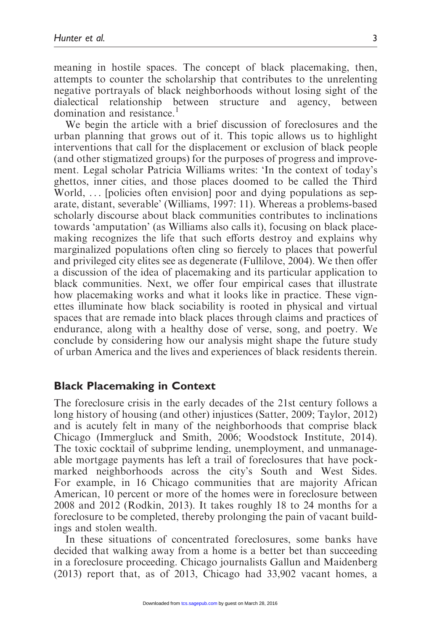meaning in hostile spaces. The concept of black placemaking, then, attempts to counter the scholarship that contributes to the unrelenting negative portrayals of black neighborhoods without losing sight of the dialectical relationship between structure and agency, between domination and resistance.<sup>1</sup>

We begin the article with a brief discussion of foreclosures and the urban planning that grows out of it. This topic allows us to highlight interventions that call for the displacement or exclusion of black people (and other stigmatized groups) for the purposes of progress and improvement. Legal scholar Patricia Williams writes: 'In the context of today's ghettos, inner cities, and those places doomed to be called the Third World, ... [policies often envision] poor and dying populations as separate, distant, severable' (Williams, 1997: 11). Whereas a problems-based scholarly discourse about black communities contributes to inclinations towards 'amputation' (as Williams also calls it), focusing on black placemaking recognizes the life that such efforts destroy and explains why marginalized populations often cling so fiercely to places that powerful and privileged city elites see as degenerate (Fullilove, 2004). We then offer a discussion of the idea of placemaking and its particular application to black communities. Next, we offer four empirical cases that illustrate how placemaking works and what it looks like in practice. These vignettes illuminate how black sociability is rooted in physical and virtual spaces that are remade into black places through claims and practices of endurance, along with a healthy dose of verse, song, and poetry. We conclude by considering how our analysis might shape the future study of urban America and the lives and experiences of black residents therein.

#### Black Placemaking in Context

The foreclosure crisis in the early decades of the 21st century follows a long history of housing (and other) injustices (Satter, 2009; Taylor, 2012) and is acutely felt in many of the neighborhoods that comprise black Chicago (Immergluck and Smith, 2006; Woodstock Institute, 2014). The toxic cocktail of subprime lending, unemployment, and unmanageable mortgage payments has left a trail of foreclosures that have pockmarked neighborhoods across the city's South and West Sides. For example, in 16 Chicago communities that are majority African American, 10 percent or more of the homes were in foreclosure between 2008 and 2012 (Rodkin, 2013). It takes roughly 18 to 24 months for a foreclosure to be completed, thereby prolonging the pain of vacant buildings and stolen wealth.

In these situations of concentrated foreclosures, some banks have decided that walking away from a home is a better bet than succeeding in a foreclosure proceeding. Chicago journalists Gallun and Maidenberg (2013) report that, as of 2013, Chicago had 33,902 vacant homes, a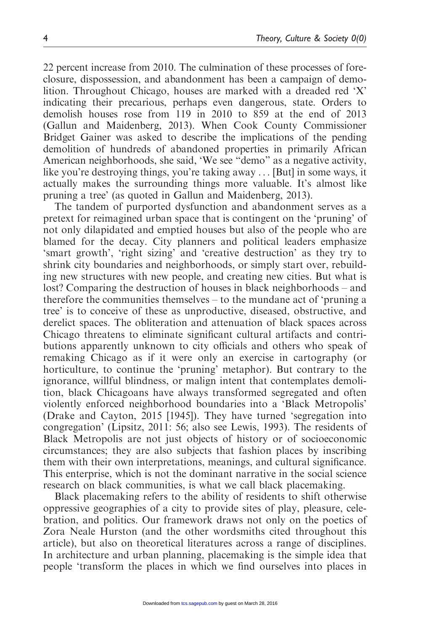22 percent increase from 2010. The culmination of these processes of foreclosure, dispossession, and abandonment has been a campaign of demolition. Throughout Chicago, houses are marked with a dreaded red 'X' indicating their precarious, perhaps even dangerous, state. Orders to demolish houses rose from 119 in 2010 to 859 at the end of 2013 (Gallun and Maidenberg, 2013). When Cook County Commissioner Bridget Gainer was asked to describe the implications of the pending demolition of hundreds of abandoned properties in primarily African American neighborhoods, she said, 'We see "demo" as a negative activity, like you're destroying things, you're taking away ... [But] in some ways, it actually makes the surrounding things more valuable. It's almost like pruning a tree' (as quoted in Gallun and Maidenberg, 2013).

The tandem of purported dysfunction and abandonment serves as a pretext for reimagined urban space that is contingent on the 'pruning' of not only dilapidated and emptied houses but also of the people who are blamed for the decay. City planners and political leaders emphasize 'smart growth', 'right sizing' and 'creative destruction' as they try to shrink city boundaries and neighborhoods, or simply start over, rebuilding new structures with new people, and creating new cities. But what is lost? Comparing the destruction of houses in black neighborhoods – and therefore the communities themselves – to the mundane act of 'pruning a tree' is to conceive of these as unproductive, diseased, obstructive, and derelict spaces. The obliteration and attenuation of black spaces across Chicago threatens to eliminate significant cultural artifacts and contributions apparently unknown to city officials and others who speak of remaking Chicago as if it were only an exercise in cartography (or horticulture, to continue the 'pruning' metaphor). But contrary to the ignorance, willful blindness, or malign intent that contemplates demolition, black Chicagoans have always transformed segregated and often violently enforced neighborhood boundaries into a 'Black Metropolis' (Drake and Cayton, 2015 [1945]). They have turned 'segregation into congregation' (Lipsitz, 2011: 56; also see Lewis, 1993). The residents of Black Metropolis are not just objects of history or of socioeconomic circumstances; they are also subjects that fashion places by inscribing them with their own interpretations, meanings, and cultural significance. This enterprise, which is not the dominant narrative in the social science research on black communities, is what we call black placemaking.

Black placemaking refers to the ability of residents to shift otherwise oppressive geographies of a city to provide sites of play, pleasure, celebration, and politics. Our framework draws not only on the poetics of Zora Neale Hurston (and the other wordsmiths cited throughout this article), but also on theoretical literatures across a range of disciplines. In architecture and urban planning, placemaking is the simple idea that people 'transform the places in which we find ourselves into places in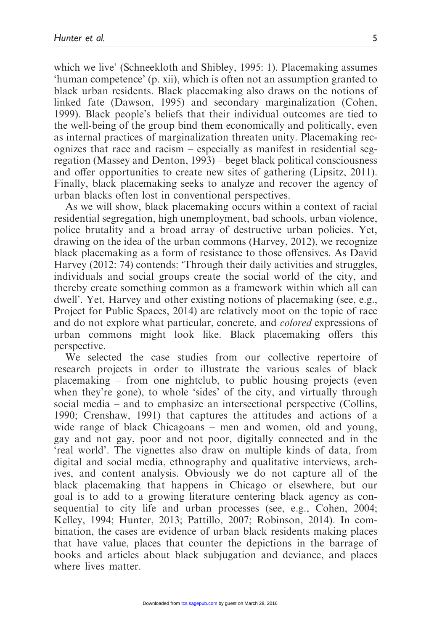which we live' (Schneekloth and Shibley, 1995: 1). Placemaking assumes 'human competence' (p. xii), which is often not an assumption granted to black urban residents. Black placemaking also draws on the notions of linked fate (Dawson, 1995) and secondary marginalization (Cohen, 1999). Black people's beliefs that their individual outcomes are tied to the well-being of the group bind them economically and politically, even as internal practices of marginalization threaten unity. Placemaking recognizes that race and racism – especially as manifest in residential segregation (Massey and Denton, 1993) – beget black political consciousness and offer opportunities to create new sites of gathering (Lipsitz, 2011). Finally, black placemaking seeks to analyze and recover the agency of urban blacks often lost in conventional perspectives.

As we will show, black placemaking occurs within a context of racial residential segregation, high unemployment, bad schools, urban violence, police brutality and a broad array of destructive urban policies. Yet, drawing on the idea of the urban commons (Harvey, 2012), we recognize black placemaking as a form of resistance to those offensives. As David Harvey (2012: 74) contends: 'Through their daily activities and struggles, individuals and social groups create the social world of the city, and thereby create something common as a framework within which all can dwell'. Yet, Harvey and other existing notions of placemaking (see, e.g., Project for Public Spaces, 2014) are relatively moot on the topic of race and do not explore what particular, concrete, and colored expressions of urban commons might look like. Black placemaking offers this perspective.

We selected the case studies from our collective repertoire of research projects in order to illustrate the various scales of black placemaking – from one nightclub, to public housing projects (even when they're gone), to whole 'sides' of the city, and virtually through social media – and to emphasize an intersectional perspective (Collins, 1990; Crenshaw, 1991) that captures the attitudes and actions of a wide range of black Chicagoans – men and women, old and young, gay and not gay, poor and not poor, digitally connected and in the 'real world'. The vignettes also draw on multiple kinds of data, from digital and social media, ethnography and qualitative interviews, archives, and content analysis. Obviously we do not capture all of the black placemaking that happens in Chicago or elsewhere, but our goal is to add to a growing literature centering black agency as consequential to city life and urban processes (see, e.g., Cohen, 2004; Kelley, 1994; Hunter, 2013; Pattillo, 2007; Robinson, 2014). In combination, the cases are evidence of urban black residents making places that have value, places that counter the depictions in the barrage of books and articles about black subjugation and deviance, and places where lives matter.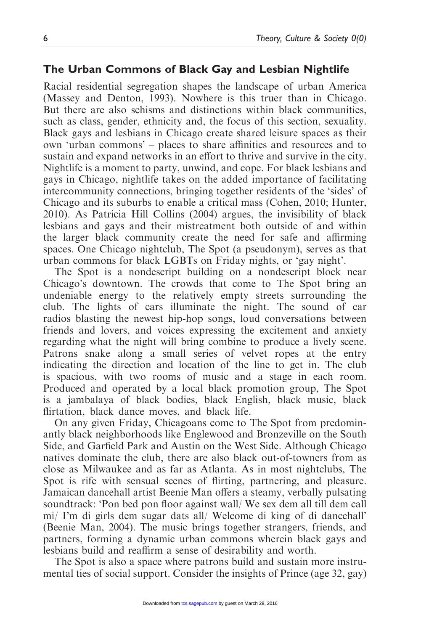# The Urban Commons of Black Gay and Lesbian Nightlife

Racial residential segregation shapes the landscape of urban America (Massey and Denton, 1993). Nowhere is this truer than in Chicago. But there are also schisms and distinctions within black communities, such as class, gender, ethnicity and, the focus of this section, sexuality. Black gays and lesbians in Chicago create shared leisure spaces as their own 'urban commons' – places to share affinities and resources and to sustain and expand networks in an effort to thrive and survive in the city. Nightlife is a moment to party, unwind, and cope. For black lesbians and gays in Chicago, nightlife takes on the added importance of facilitating intercommunity connections, bringing together residents of the 'sides' of Chicago and its suburbs to enable a critical mass (Cohen, 2010; Hunter, 2010). As Patricia Hill Collins (2004) argues, the invisibility of black lesbians and gays and their mistreatment both outside of and within the larger black community create the need for safe and affirming spaces. One Chicago nightclub, The Spot (a pseudonym), serves as that urban commons for black LGBTs on Friday nights, or 'gay night'.

The Spot is a nondescript building on a nondescript block near Chicago's downtown. The crowds that come to The Spot bring an undeniable energy to the relatively empty streets surrounding the club. The lights of cars illuminate the night. The sound of car radios blasting the newest hip-hop songs, loud conversations between friends and lovers, and voices expressing the excitement and anxiety regarding what the night will bring combine to produce a lively scene. Patrons snake along a small series of velvet ropes at the entry indicating the direction and location of the line to get in. The club is spacious, with two rooms of music and a stage in each room. Produced and operated by a local black promotion group, The Spot is a jambalaya of black bodies, black English, black music, black flirtation, black dance moves, and black life.

On any given Friday, Chicagoans come to The Spot from predominantly black neighborhoods like Englewood and Bronzeville on the South Side, and Garfield Park and Austin on the West Side. Although Chicago natives dominate the club, there are also black out-of-towners from as close as Milwaukee and as far as Atlanta. As in most nightclubs, The Spot is rife with sensual scenes of flirting, partnering, and pleasure. Jamaican dancehall artist Beenie Man offers a steamy, verbally pulsating soundtrack: 'Pon bed pon floor against wall/ We sex dem all till dem call mi/ I'm di girls dem sugar dats all/ Welcome di king of di dancehall' (Beenie Man, 2004). The music brings together strangers, friends, and partners, forming a dynamic urban commons wherein black gays and lesbians build and reaffirm a sense of desirability and worth.

The Spot is also a space where patrons build and sustain more instrumental ties of social support. Consider the insights of Prince (age 32, gay)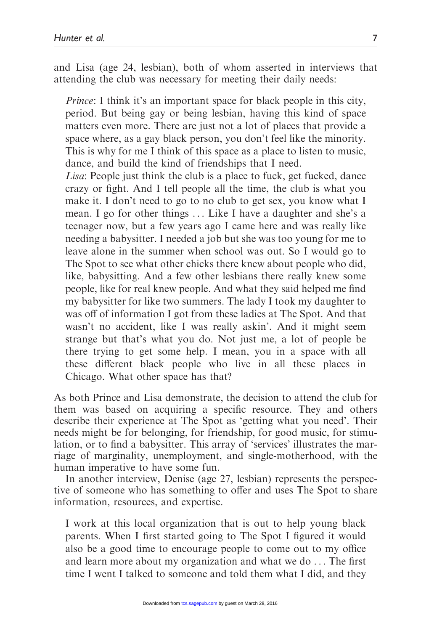and Lisa (age 24, lesbian), both of whom asserted in interviews that attending the club was necessary for meeting their daily needs:

Prince: I think it's an important space for black people in this city, period. But being gay or being lesbian, having this kind of space matters even more. There are just not a lot of places that provide a space where, as a gay black person, you don't feel like the minority. This is why for me I think of this space as a place to listen to music, dance, and build the kind of friendships that I need.

Lisa: People just think the club is a place to fuck, get fucked, dance crazy or fight. And I tell people all the time, the club is what you make it. I don't need to go to no club to get sex, you know what I mean. I go for other things ... Like I have a daughter and she's a teenager now, but a few years ago I came here and was really like needing a babysitter. I needed a job but she was too young for me to leave alone in the summer when school was out. So I would go to The Spot to see what other chicks there knew about people who did, like, babysitting. And a few other lesbians there really knew some people, like for real knew people. And what they said helped me find my babysitter for like two summers. The lady I took my daughter to was off of information I got from these ladies at The Spot. And that wasn't no accident, like I was really askin'. And it might seem strange but that's what you do. Not just me, a lot of people be there trying to get some help. I mean, you in a space with all these different black people who live in all these places in Chicago. What other space has that?

As both Prince and Lisa demonstrate, the decision to attend the club for them was based on acquiring a specific resource. They and others describe their experience at The Spot as 'getting what you need'. Their needs might be for belonging, for friendship, for good music, for stimulation, or to find a babysitter. This array of 'services' illustrates the marriage of marginality, unemployment, and single-motherhood, with the human imperative to have some fun.

In another interview, Denise (age 27, lesbian) represents the perspective of someone who has something to offer and uses The Spot to share information, resources, and expertise.

I work at this local organization that is out to help young black parents. When I first started going to The Spot I figured it would also be a good time to encourage people to come out to my office and learn more about my organization and what we do ... The first time I went I talked to someone and told them what I did, and they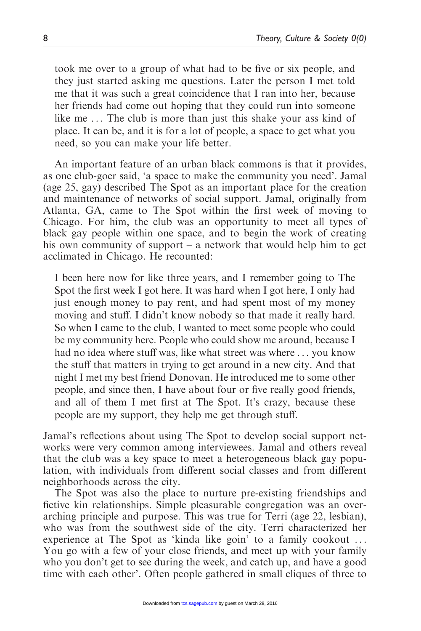took me over to a group of what had to be five or six people, and they just started asking me questions. Later the person I met told me that it was such a great coincidence that I ran into her, because her friends had come out hoping that they could run into someone like me ... The club is more than just this shake your ass kind of place. It can be, and it is for a lot of people, a space to get what you need, so you can make your life better.

An important feature of an urban black commons is that it provides, as one club-goer said, 'a space to make the community you need'. Jamal (age 25, gay) described The Spot as an important place for the creation and maintenance of networks of social support. Jamal, originally from Atlanta, GA, came to The Spot within the first week of moving to Chicago. For him, the club was an opportunity to meet all types of black gay people within one space, and to begin the work of creating his own community of support – a network that would help him to get acclimated in Chicago. He recounted:

I been here now for like three years, and I remember going to The Spot the first week I got here. It was hard when I got here, I only had just enough money to pay rent, and had spent most of my money moving and stuff. I didn't know nobody so that made it really hard. So when I came to the club, I wanted to meet some people who could be my community here. People who could show me around, because I had no idea where stuff was, like what street was where ... you know the stuff that matters in trying to get around in a new city. And that night I met my best friend Donovan. He introduced me to some other people, and since then, I have about four or five really good friends, and all of them I met first at The Spot. It's crazy, because these people are my support, they help me get through stuff.

Jamal's reflections about using The Spot to develop social support networks were very common among interviewees. Jamal and others reveal that the club was a key space to meet a heterogeneous black gay population, with individuals from different social classes and from different neighborhoods across the city.

The Spot was also the place to nurture pre-existing friendships and fictive kin relationships. Simple pleasurable congregation was an overarching principle and purpose. This was true for Terri (age 22, lesbian), who was from the southwest side of the city. Terri characterized her experience at The Spot as 'kinda like goin' to a family cookout ... You go with a few of your close friends, and meet up with your family who you don't get to see during the week, and catch up, and have a good time with each other'. Often people gathered in small cliques of three to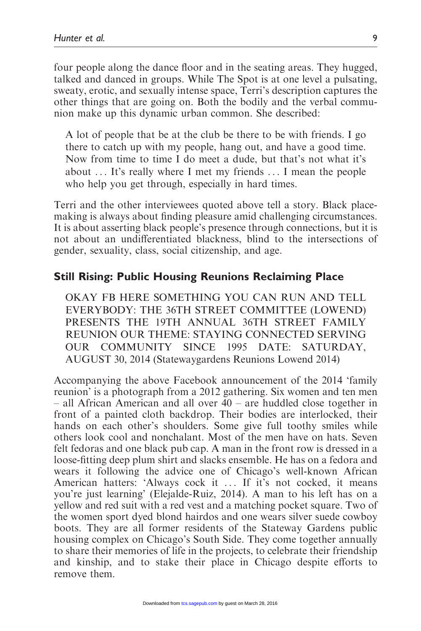four people along the dance floor and in the seating areas. They hugged, talked and danced in groups. While The Spot is at one level a pulsating, sweaty, erotic, and sexually intense space, Terri's description captures the other things that are going on. Both the bodily and the verbal communion make up this dynamic urban common. She described:

A lot of people that be at the club be there to be with friends. I go there to catch up with my people, hang out, and have a good time. Now from time to time I do meet a dude, but that's not what it's about ... It's really where I met my friends ... I mean the people who help you get through, especially in hard times.

Terri and the other interviewees quoted above tell a story. Black placemaking is always about finding pleasure amid challenging circumstances. It is about asserting black people's presence through connections, but it is not about an undifferentiated blackness, blind to the intersections of gender, sexuality, class, social citizenship, and age.

### Still Rising: Public Housing Reunions Reclaiming Place

OKAY FB HERE SOMETHING YOU CAN RUN AND TELL EVERYBODY: THE 36TH STREET COMMITTEE (LOWEND) PRESENTS THE 19TH ANNUAL 36TH STREET FAMILY REUNION OUR THEME: STAYING CONNECTED SERVING OUR COMMUNITY SINCE 1995 DATE: SATURDAY, AUGUST 30, 2014 (Statewaygardens Reunions Lowend 2014)

Accompanying the above Facebook announcement of the 2014 'family reunion' is a photograph from a 2012 gathering. Six women and ten men – all African American and all over 40 – are huddled close together in front of a painted cloth backdrop. Their bodies are interlocked, their hands on each other's shoulders. Some give full toothy smiles while others look cool and nonchalant. Most of the men have on hats. Seven felt fedoras and one black pub cap. A man in the front row is dressed in a loose-fitting deep plum shirt and slacks ensemble. He has on a fedora and wears it following the advice one of Chicago's well-known African American hatters: 'Always cock it ... If it's not cocked, it means you're just learning' (Elejalde-Ruiz, 2014). A man to his left has on a yellow and red suit with a red vest and a matching pocket square. Two of the women sport dyed blond hairdos and one wears silver suede cowboy boots. They are all former residents of the Stateway Gardens public housing complex on Chicago's South Side. They come together annually to share their memories of life in the projects, to celebrate their friendship and kinship, and to stake their place in Chicago despite efforts to remove them.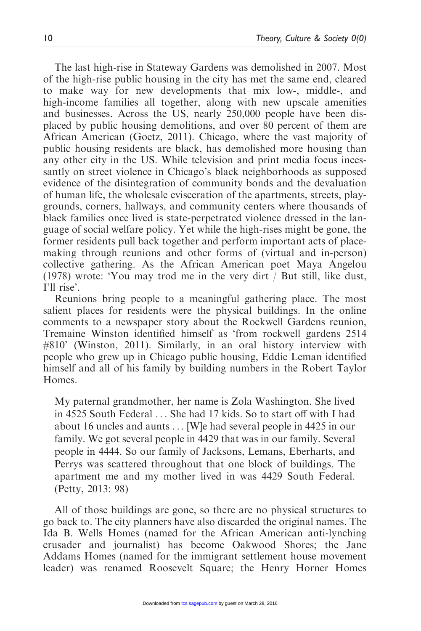The last high-rise in Stateway Gardens was demolished in 2007. Most of the high-rise public housing in the city has met the same end, cleared to make way for new developments that mix low-, middle-, and high-income families all together, along with new upscale amenities and businesses. Across the US, nearly 250,000 people have been displaced by public housing demolitions, and over 80 percent of them are African American (Goetz, 2011). Chicago, where the vast majority of public housing residents are black, has demolished more housing than any other city in the US. While television and print media focus incessantly on street violence in Chicago's black neighborhoods as supposed evidence of the disintegration of community bonds and the devaluation of human life, the wholesale evisceration of the apartments, streets, playgrounds, corners, hallways, and community centers where thousands of black families once lived is state-perpetrated violence dressed in the language of social welfare policy. Yet while the high-rises might be gone, the former residents pull back together and perform important acts of placemaking through reunions and other forms of (virtual and in-person) collective gathering. As the African American poet Maya Angelou (1978) wrote: 'You may trod me in the very dirt / But still, like dust, I'll rise'.

Reunions bring people to a meaningful gathering place. The most salient places for residents were the physical buildings. In the online comments to a newspaper story about the Rockwell Gardens reunion, Tremaine Winston identified himself as 'from rockwell gardens 2514 #810' (Winston, 2011). Similarly, in an oral history interview with people who grew up in Chicago public housing, Eddie Leman identified himself and all of his family by building numbers in the Robert Taylor Homes.

My paternal grandmother, her name is Zola Washington. She lived in 4525 South Federal ... She had 17 kids. So to start off with I had about 16 uncles and aunts ... [W]e had several people in 4425 in our family. We got several people in 4429 that was in our family. Several people in 4444. So our family of Jacksons, Lemans, Eberharts, and Perrys was scattered throughout that one block of buildings. The apartment me and my mother lived in was 4429 South Federal. (Petty, 2013: 98)

All of those buildings are gone, so there are no physical structures to go back to. The city planners have also discarded the original names. The Ida B. Wells Homes (named for the African American anti-lynching crusader and journalist) has become Oakwood Shores; the Jane Addams Homes (named for the immigrant settlement house movement leader) was renamed Roosevelt Square; the Henry Horner Homes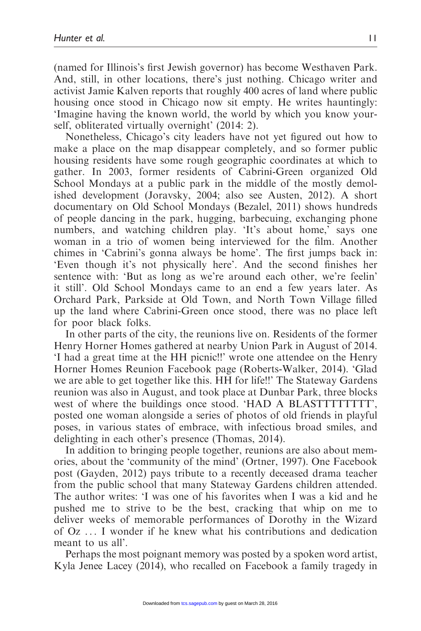(named for Illinois's first Jewish governor) has become Westhaven Park. And, still, in other locations, there's just nothing. Chicago writer and activist Jamie Kalven reports that roughly 400 acres of land where public housing once stood in Chicago now sit empty. He writes hauntingly: 'Imagine having the known world, the world by which you know yourself, obliterated virtually overnight' (2014: 2).

Nonetheless, Chicago's city leaders have not yet figured out how to make a place on the map disappear completely, and so former public housing residents have some rough geographic coordinates at which to gather. In 2003, former residents of Cabrini-Green organized Old School Mondays at a public park in the middle of the mostly demolished development (Joravsky, 2004; also see Austen, 2012). A short documentary on Old School Mondays (Bezalel, 2011) shows hundreds of people dancing in the park, hugging, barbecuing, exchanging phone numbers, and watching children play. 'It's about home,' says one woman in a trio of women being interviewed for the film. Another chimes in 'Cabrini's gonna always be home'. The first jumps back in: 'Even though it's not physically here'. And the second finishes her sentence with: 'But as long as we're around each other, we're feelin' it still'. Old School Mondays came to an end a few years later. As Orchard Park, Parkside at Old Town, and North Town Village filled up the land where Cabrini-Green once stood, there was no place left for poor black folks.

In other parts of the city, the reunions live on. Residents of the former Henry Horner Homes gathered at nearby Union Park in August of 2014. 'I had a great time at the HH picnic!!' wrote one attendee on the Henry Horner Homes Reunion Facebook page (Roberts-Walker, 2014). 'Glad we are able to get together like this. HH for life!!' The Stateway Gardens reunion was also in August, and took place at Dunbar Park, three blocks west of where the buildings once stood. 'HAD A BLASTTTTTTTT', posted one woman alongside a series of photos of old friends in playful poses, in various states of embrace, with infectious broad smiles, and delighting in each other's presence (Thomas, 2014).

In addition to bringing people together, reunions are also about memories, about the 'community of the mind' (Ortner, 1997). One Facebook post (Gayden, 2012) pays tribute to a recently deceased drama teacher from the public school that many Stateway Gardens children attended. The author writes: 'I was one of his favorites when I was a kid and he pushed me to strive to be the best, cracking that whip on me to deliver weeks of memorable performances of Dorothy in the Wizard of Oz ... I wonder if he knew what his contributions and dedication meant to us all'.

Perhaps the most poignant memory was posted by a spoken word artist, Kyla Jenee Lacey (2014), who recalled on Facebook a family tragedy in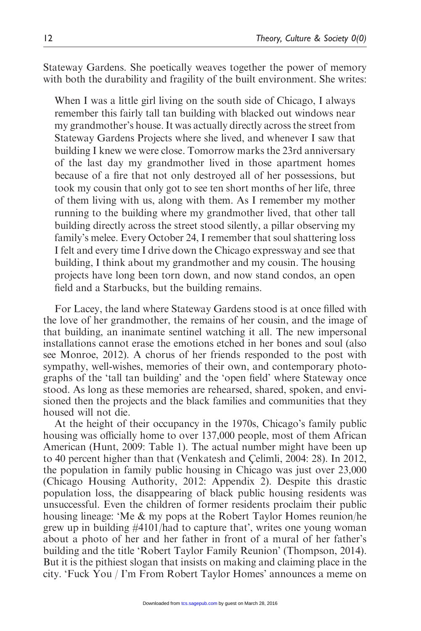Stateway Gardens. She poetically weaves together the power of memory with both the durability and fragility of the built environment. She writes:

When I was a little girl living on the south side of Chicago, I always remember this fairly tall tan building with blacked out windows near my grandmother's house. It was actually directly across the street from Stateway Gardens Projects where she lived, and whenever I saw that building I knew we were close. Tomorrow marks the 23rd anniversary of the last day my grandmother lived in those apartment homes because of a fire that not only destroyed all of her possessions, but took my cousin that only got to see ten short months of her life, three of them living with us, along with them. As I remember my mother running to the building where my grandmother lived, that other tall building directly across the street stood silently, a pillar observing my family's melee. Every October 24, I remember that soul shattering loss I felt and every time I drive down the Chicago expressway and see that building, I think about my grandmother and my cousin. The housing projects have long been torn down, and now stand condos, an open field and a Starbucks, but the building remains.

For Lacey, the land where Stateway Gardens stood is at once filled with the love of her grandmother, the remains of her cousin, and the image of that building, an inanimate sentinel watching it all. The new impersonal installations cannot erase the emotions etched in her bones and soul (also see Monroe, 2012). A chorus of her friends responded to the post with sympathy, well-wishes, memories of their own, and contemporary photographs of the 'tall tan building' and the 'open field' where Stateway once stood. As long as these memories are rehearsed, shared, spoken, and envisioned then the projects and the black families and communities that they housed will not die.

At the height of their occupancy in the 1970s, Chicago's family public housing was officially home to over 137,000 people, most of them African American (Hunt, 2009: Table 1). The actual number might have been up to 40 percent higher than that (Venkatesh and Celimli, 2004: 28). In 2012, the population in family public housing in Chicago was just over 23,000 (Chicago Housing Authority, 2012: Appendix 2). Despite this drastic population loss, the disappearing of black public housing residents was unsuccessful. Even the children of former residents proclaim their public housing lineage: 'Me & my pops at the Robert Taylor Homes reunion/he grew up in building #4101/had to capture that', writes one young woman about a photo of her and her father in front of a mural of her father's building and the title 'Robert Taylor Family Reunion' (Thompson, 2014). But it is the pithiest slogan that insists on making and claiming place in the city. 'Fuck You / I'm From Robert Taylor Homes' announces a meme on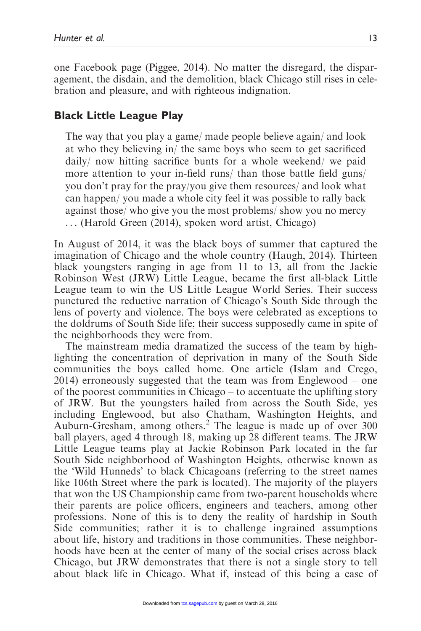one Facebook page (Piggee, 2014). No matter the disregard, the disparagement, the disdain, and the demolition, black Chicago still rises in celebration and pleasure, and with righteous indignation.

# Black Little League Play

The way that you play a game/ made people believe again/ and look at who they believing in/ the same boys who seem to get sacrificed daily/ now hitting sacrifice bunts for a whole weekend/ we paid more attention to your in-field runs/ than those battle field guns/ you don't pray for the pray/you give them resources/ and look what can happen/ you made a whole city feel it was possible to rally back against those/ who give you the most problems/ show you no mercy ... (Harold Green (2014), spoken word artist, Chicago)

In August of 2014, it was the black boys of summer that captured the imagination of Chicago and the whole country (Haugh, 2014). Thirteen black youngsters ranging in age from 11 to 13, all from the Jackie Robinson West (JRW) Little League, became the first all-black Little League team to win the US Little League World Series. Their success punctured the reductive narration of Chicago's South Side through the lens of poverty and violence. The boys were celebrated as exceptions to the doldrums of South Side life; their success supposedly came in spite of the neighborhoods they were from.

The mainstream media dramatized the success of the team by highlighting the concentration of deprivation in many of the South Side communities the boys called home. One article (Islam and Crego, 2014) erroneously suggested that the team was from Englewood – one of the poorest communities in Chicago – to accentuate the uplifting story of JRW. But the youngsters hailed from across the South Side, yes including Englewood, but also Chatham, Washington Heights, and Auburn-Gresham, among others.<sup>2</sup> The league is made up of over 300 ball players, aged 4 through 18, making up 28 different teams. The JRW Little League teams play at Jackie Robinson Park located in the far South Side neighborhood of Washington Heights, otherwise known as the 'Wild Hunneds' to black Chicagoans (referring to the street names like 106th Street where the park is located). The majority of the players that won the US Championship came from two-parent households where their parents are police officers, engineers and teachers, among other professions. None of this is to deny the reality of hardship in South Side communities; rather it is to challenge ingrained assumptions about life, history and traditions in those communities. These neighborhoods have been at the center of many of the social crises across black Chicago, but JRW demonstrates that there is not a single story to tell about black life in Chicago. What if, instead of this being a case of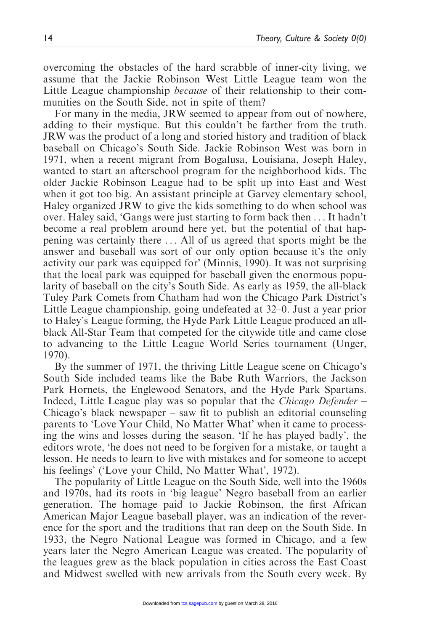overcoming the obstacles of the hard scrabble of inner-city living, we assume that the Jackie Robinson West Little League team won the Little League championship because of their relationship to their communities on the South Side, not in spite of them?

For many in the media, JRW seemed to appear from out of nowhere, adding to their mystique. But this couldn't be farther from the truth. JRW was the product of a long and storied history and tradition of black baseball on Chicago's South Side. Jackie Robinson West was born in 1971, when a recent migrant from Bogalusa, Louisiana, Joseph Haley, wanted to start an afterschool program for the neighborhood kids. The older Jackie Robinson League had to be split up into East and West when it got too big. An assistant principle at Garvey elementary school, Haley organized JRW to give the kids something to do when school was over. Haley said, 'Gangs were just starting to form back then ... It hadn't become a real problem around here yet, but the potential of that happening was certainly there ... All of us agreed that sports might be the answer and baseball was sort of our only option because it's the only activity our park was equipped for' (Minnis, 1990). It was not surprising that the local park was equipped for baseball given the enormous popularity of baseball on the city's South Side. As early as 1959, the all-black Tuley Park Comets from Chatham had won the Chicago Park District's Little League championship, going undefeated at 32–0. Just a year prior to Haley's League forming, the Hyde Park Little League produced an allblack All-Star Team that competed for the citywide title and came close to advancing to the Little League World Series tournament (Unger, 1970).

By the summer of 1971, the thriving Little League scene on Chicago's South Side included teams like the Babe Ruth Warriors, the Jackson Park Hornets, the Englewood Senators, and the Hyde Park Spartans. Indeed, Little League play was so popular that the *Chicago Defender –* Chicago's black newspaper – saw fit to publish an editorial counseling parents to 'Love Your Child, No Matter What' when it came to processing the wins and losses during the season. 'If he has played badly', the editors wrote, 'he does not need to be forgiven for a mistake, or taught a lesson. He needs to learn to live with mistakes and for someone to accept his feelings' ('Love your Child, No Matter What', 1972).

The popularity of Little League on the South Side, well into the 1960s and 1970s, had its roots in 'big league' Negro baseball from an earlier generation. The homage paid to Jackie Robinson, the first African American Major League baseball player, was an indication of the reverence for the sport and the traditions that ran deep on the South Side. In 1933, the Negro National League was formed in Chicago, and a few years later the Negro American League was created. The popularity of the leagues grew as the black population in cities across the East Coast and Midwest swelled with new arrivals from the South every week. By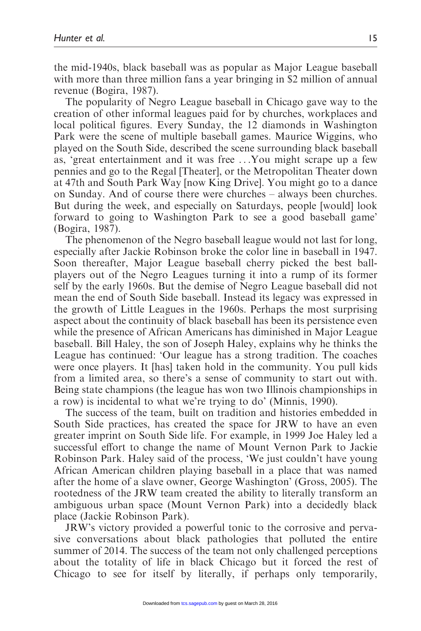the mid-1940s, black baseball was as popular as Major League baseball with more than three million fans a year bringing in \$2 million of annual revenue (Bogira, 1987).

The popularity of Negro League baseball in Chicago gave way to the creation of other informal leagues paid for by churches, workplaces and local political figures. Every Sunday, the 12 diamonds in Washington Park were the scene of multiple baseball games. Maurice Wiggins, who played on the South Side, described the scene surrounding black baseball as, 'great entertainment and it was free ...You might scrape up a few pennies and go to the Regal [Theater], or the Metropolitan Theater down at 47th and South Park Way [now King Drive]. You might go to a dance on Sunday. And of course there were churches – always been churches. But during the week, and especially on Saturdays, people [would] look forward to going to Washington Park to see a good baseball game' (Bogira, 1987).

The phenomenon of the Negro baseball league would not last for long, especially after Jackie Robinson broke the color line in baseball in 1947. Soon thereafter, Major League baseball cherry picked the best ballplayers out of the Negro Leagues turning it into a rump of its former self by the early 1960s. But the demise of Negro League baseball did not mean the end of South Side baseball. Instead its legacy was expressed in the growth of Little Leagues in the 1960s. Perhaps the most surprising aspect about the continuity of black baseball has been its persistence even while the presence of African Americans has diminished in Major League baseball. Bill Haley, the son of Joseph Haley, explains why he thinks the League has continued: 'Our league has a strong tradition. The coaches were once players. It [has] taken hold in the community. You pull kids from a limited area, so there's a sense of community to start out with. Being state champions (the league has won two Illinois championships in a row) is incidental to what we're trying to do' (Minnis, 1990).

The success of the team, built on tradition and histories embedded in South Side practices, has created the space for JRW to have an even greater imprint on South Side life. For example, in 1999 Joe Haley led a successful effort to change the name of Mount Vernon Park to Jackie Robinson Park. Haley said of the process, 'We just couldn't have young African American children playing baseball in a place that was named after the home of a slave owner, George Washington' (Gross, 2005). The rootedness of the JRW team created the ability to literally transform an ambiguous urban space (Mount Vernon Park) into a decidedly black place (Jackie Robinson Park).

JRW's victory provided a powerful tonic to the corrosive and pervasive conversations about black pathologies that polluted the entire summer of 2014. The success of the team not only challenged perceptions about the totality of life in black Chicago but it forced the rest of Chicago to see for itself by literally, if perhaps only temporarily,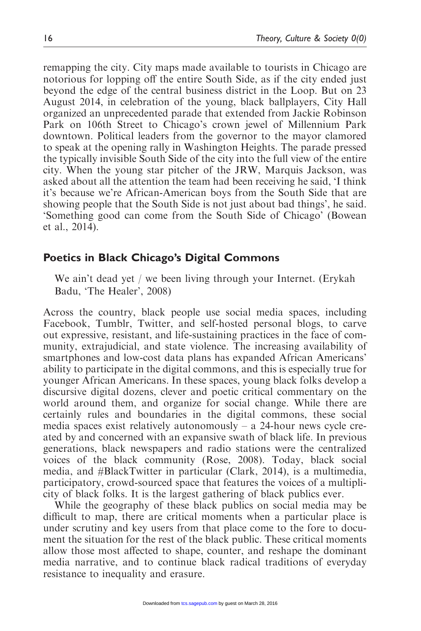remapping the city. City maps made available to tourists in Chicago are notorious for lopping off the entire South Side, as if the city ended just beyond the edge of the central business district in the Loop. But on 23 August 2014, in celebration of the young, black ballplayers, City Hall organized an unprecedented parade that extended from Jackie Robinson Park on 106th Street to Chicago's crown jewel of Millennium Park downtown. Political leaders from the governor to the mayor clamored to speak at the opening rally in Washington Heights. The parade pressed the typically invisible South Side of the city into the full view of the entire city. When the young star pitcher of the JRW, Marquis Jackson, was asked about all the attention the team had been receiving he said, 'I think it's because we're African-American boys from the South Side that are showing people that the South Side is not just about bad things', he said. 'Something good can come from the South Side of Chicago' (Bowean et al., 2014).

#### Poetics in Black Chicago's Digital Commons

We ain't dead yet / we been living through your Internet. (Erykah Badu, 'The Healer', 2008)

Across the country, black people use social media spaces, including Facebook, Tumblr, Twitter, and self-hosted personal blogs, to carve out expressive, resistant, and life-sustaining practices in the face of community, extrajudicial, and state violence. The increasing availability of smartphones and low-cost data plans has expanded African Americans' ability to participate in the digital commons, and this is especially true for younger African Americans. In these spaces, young black folks develop a discursive digital dozens, clever and poetic critical commentary on the world around them, and organize for social change. While there are certainly rules and boundaries in the digital commons, these social media spaces exist relatively autonomously – a 24-hour news cycle created by and concerned with an expansive swath of black life. In previous generations, black newspapers and radio stations were the centralized voices of the black community (Rose, 2008). Today, black social media, and #BlackTwitter in particular (Clark, 2014), is a multimedia, participatory, crowd-sourced space that features the voices of a multiplicity of black folks. It is the largest gathering of black publics ever.

While the geography of these black publics on social media may be difficult to map, there are critical moments when a particular place is under scrutiny and key users from that place come to the fore to document the situation for the rest of the black public. These critical moments allow those most affected to shape, counter, and reshape the dominant media narrative, and to continue black radical traditions of everyday resistance to inequality and erasure.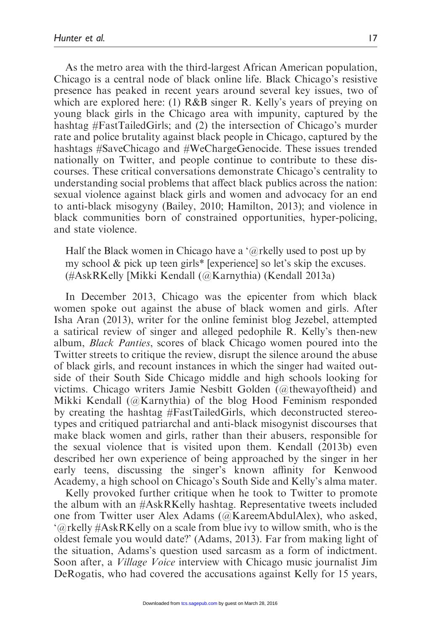As the metro area with the third-largest African American population, Chicago is a central node of black online life. Black Chicago's resistive presence has peaked in recent years around several key issues, two of which are explored here: (1) R&B singer R. Kelly's years of preying on young black girls in the Chicago area with impunity, captured by the hashtag #FastTailedGirls; and (2) the intersection of Chicago's murder rate and police brutality against black people in Chicago, captured by the hashtags #SaveChicago and #WeChargeGenocide. These issues trended nationally on Twitter, and people continue to contribute to these discourses. These critical conversations demonstrate Chicago's centrality to understanding social problems that affect black publics across the nation: sexual violence against black girls and women and advocacy for an end to anti-black misogyny (Bailey, 2010; Hamilton, 2013); and violence in black communities born of constrained opportunities, hyper-policing, and state violence.

Half the Black women in Chicago have a ' $@$ rkelly used to post up by my school & pick up teen girls\* [experience] so let's skip the excuses. (#AskRKelly [Mikki Kendall (@Karnythia) (Kendall 2013a)

In December 2013, Chicago was the epicenter from which black women spoke out against the abuse of black women and girls. After Isha Aran (2013), writer for the online feminist blog Jezebel, attempted a satirical review of singer and alleged pedophile R. Kelly's then-new album, Black Panties, scores of black Chicago women poured into the Twitter streets to critique the review, disrupt the silence around the abuse of black girls, and recount instances in which the singer had waited outside of their South Side Chicago middle and high schools looking for victims. Chicago writers Jamie Nesbitt Golden (@thewayoftheid) and Mikki Kendall (@Karnythia) of the blog Hood Feminism responded by creating the hashtag #FastTailedGirls, which deconstructed stereotypes and critiqued patriarchal and anti-black misogynist discourses that make black women and girls, rather than their abusers, responsible for the sexual violence that is visited upon them. Kendall (2013b) even described her own experience of being approached by the singer in her early teens, discussing the singer's known affinity for Kenwood Academy, a high school on Chicago's South Side and Kelly's alma mater.

Kelly provoked further critique when he took to Twitter to promote the album with an #AskRKelly hashtag. Representative tweets included one from Twitter user Alex Adams (@KareemAbdulAlex), who asked, '@rkelly #AskRKelly on a scale from blue ivy to willow smith, who is the oldest female you would date?' (Adams, 2013). Far from making light of the situation, Adams's question used sarcasm as a form of indictment. Soon after, a *Village Voice* interview with Chicago music journalist Jim DeRogatis, who had covered the accusations against Kelly for 15 years,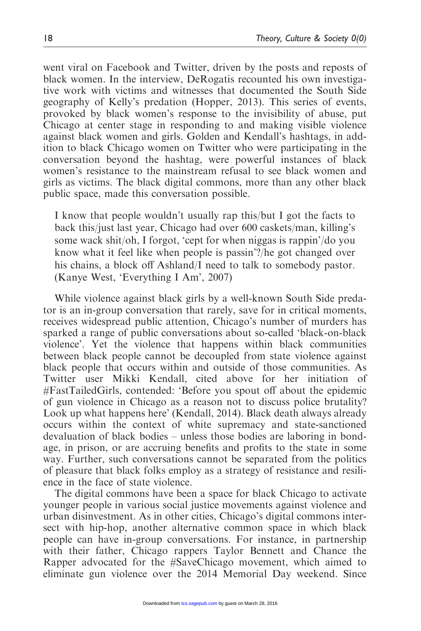went viral on Facebook and Twitter, driven by the posts and reposts of black women. In the interview, DeRogatis recounted his own investigative work with victims and witnesses that documented the South Side geography of Kelly's predation (Hopper, 2013). This series of events, provoked by black women's response to the invisibility of abuse, put Chicago at center stage in responding to and making visible violence against black women and girls. Golden and Kendall's hashtags, in addition to black Chicago women on Twitter who were participating in the conversation beyond the hashtag, were powerful instances of black women's resistance to the mainstream refusal to see black women and girls as victims. The black digital commons, more than any other black public space, made this conversation possible.

I know that people wouldn't usually rap this/but I got the facts to back this/just last year, Chicago had over 600 caskets/man, killing's some wack shit/oh, I forgot, 'cept for when niggas is rappin'/do you know what it feel like when people is passin'?/he got changed over his chains, a block off Ashland/I need to talk to somebody pastor. (Kanye West, 'Everything I Am', 2007)

While violence against black girls by a well-known South Side predator is an in-group conversation that rarely, save for in critical moments, receives widespread public attention, Chicago's number of murders has sparked a range of public conversations about so-called 'black-on-black violence'. Yet the violence that happens within black communities between black people cannot be decoupled from state violence against black people that occurs within and outside of those communities. As Twitter user Mikki Kendall, cited above for her initiation of #FastTailedGirls, contended: 'Before you spout off about the epidemic of gun violence in Chicago as a reason not to discuss police brutality? Look up what happens here' (Kendall, 2014). Black death always already occurs within the context of white supremacy and state-sanctioned devaluation of black bodies – unless those bodies are laboring in bondage, in prison, or are accruing benefits and profits to the state in some way. Further, such conversations cannot be separated from the politics of pleasure that black folks employ as a strategy of resistance and resilience in the face of state violence.

The digital commons have been a space for black Chicago to activate younger people in various social justice movements against violence and urban disinvestment. As in other cities, Chicago's digital commons intersect with hip-hop, another alternative common space in which black people can have in-group conversations. For instance, in partnership with their father, Chicago rappers Taylor Bennett and Chance the Rapper advocated for the #SaveChicago movement, which aimed to eliminate gun violence over the 2014 Memorial Day weekend. Since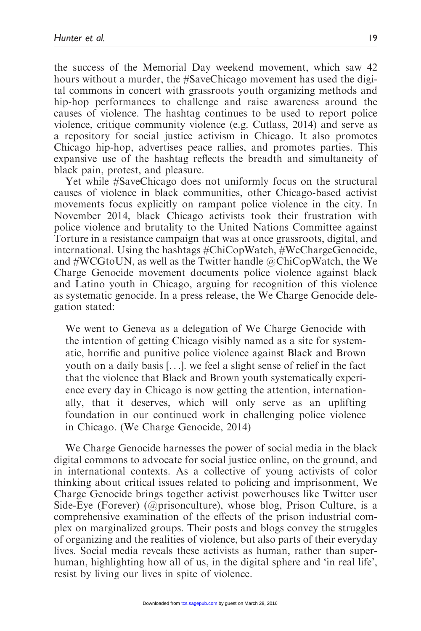the success of the Memorial Day weekend movement, which saw 42 hours without a murder, the #SaveChicago movement has used the digital commons in concert with grassroots youth organizing methods and hip-hop performances to challenge and raise awareness around the causes of violence. The hashtag continues to be used to report police violence, critique community violence (e.g. Cutlass, 2014) and serve as a repository for social justice activism in Chicago. It also promotes Chicago hip-hop, advertises peace rallies, and promotes parties. This expansive use of the hashtag reflects the breadth and simultaneity of black pain, protest, and pleasure.

Yet while #SaveChicago does not uniformly focus on the structural causes of violence in black communities, other Chicago-based activist movements focus explicitly on rampant police violence in the city. In November 2014, black Chicago activists took their frustration with police violence and brutality to the United Nations Committee against Torture in a resistance campaign that was at once grassroots, digital, and international. Using the hashtags #ChiCopWatch, #WeChargeGenocide, and  $\#WCG$ toUN, as well as the Twitter handle  $@ChiCopW$ atch, the We Charge Genocide movement documents police violence against black and Latino youth in Chicago, arguing for recognition of this violence as systematic genocide. In a press release, the We Charge Genocide delegation stated:

We went to Geneva as a delegation of We Charge Genocide with the intention of getting Chicago visibly named as a site for systematic, horrific and punitive police violence against Black and Brown youth on a daily basis [...]. we feel a slight sense of relief in the fact that the violence that Black and Brown youth systematically experience every day in Chicago is now getting the attention, internationally, that it deserves, which will only serve as an uplifting foundation in our continued work in challenging police violence in Chicago. (We Charge Genocide, 2014)

We Charge Genocide harnesses the power of social media in the black digital commons to advocate for social justice online, on the ground, and in international contexts. As a collective of young activists of color thinking about critical issues related to policing and imprisonment, We Charge Genocide brings together activist powerhouses like Twitter user Side-Eye (Forever) (@prisonculture), whose blog, Prison Culture, is a comprehensive examination of the effects of the prison industrial complex on marginalized groups. Their posts and blogs convey the struggles of organizing and the realities of violence, but also parts of their everyday lives. Social media reveals these activists as human, rather than superhuman, highlighting how all of us, in the digital sphere and 'in real life', resist by living our lives in spite of violence.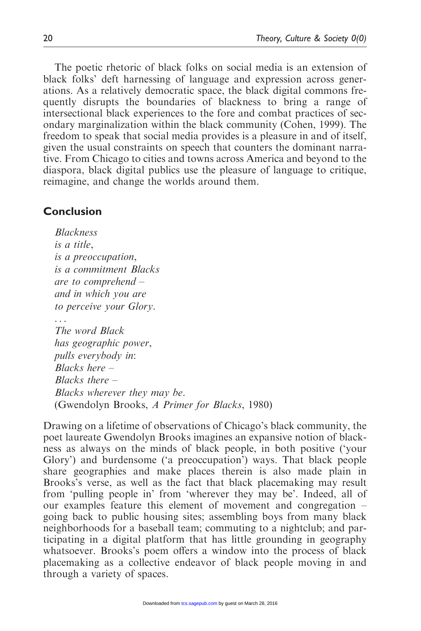The poetic rhetoric of black folks on social media is an extension of black folks' deft harnessing of language and expression across generations. As a relatively democratic space, the black digital commons frequently disrupts the boundaries of blackness to bring a range of intersectional black experiences to the fore and combat practices of secondary marginalization within the black community (Cohen, 1999). The freedom to speak that social media provides is a pleasure in and of itself, given the usual constraints on speech that counters the dominant narrative. From Chicago to cities and towns across America and beyond to the diaspora, black digital publics use the pleasure of language to critique, reimagine, and change the worlds around them.

### Conclusion

Blackness is a title, is a preoccupation, is a commitment Blacks are to comprehend – and in which you are to perceive your Glory. ... The word Black has geographic power, pulls everybody in: Blacks here – Blacks there – Blacks wherever they may be. (Gwendolyn Brooks, A Primer for Blacks, 1980)

Drawing on a lifetime of observations of Chicago's black community, the poet laureate Gwendolyn Brooks imagines an expansive notion of blackness as always on the minds of black people, in both positive ('your Glory') and burdensome ('a preoccupation') ways. That black people share geographies and make places therein is also made plain in Brooks's verse, as well as the fact that black placemaking may result from 'pulling people in' from 'wherever they may be'. Indeed, all of our examples feature this element of movement and congregation – going back to public housing sites; assembling boys from many black neighborhoods for a baseball team; commuting to a nightclub; and participating in a digital platform that has little grounding in geography whatsoever. Brooks's poem offers a window into the process of black placemaking as a collective endeavor of black people moving in and through a variety of spaces.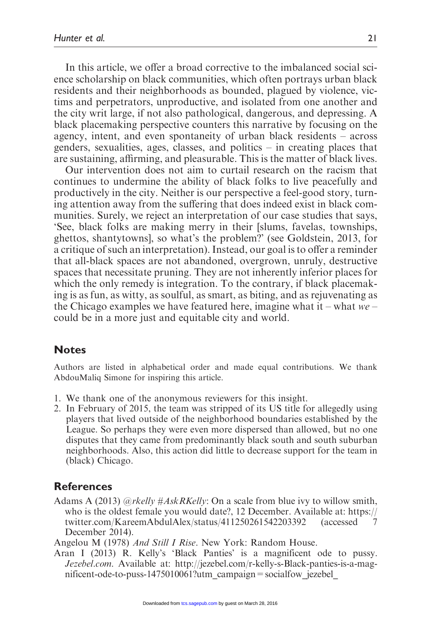In this article, we offer a broad corrective to the imbalanced social science scholarship on black communities, which often portrays urban black residents and their neighborhoods as bounded, plagued by violence, victims and perpetrators, unproductive, and isolated from one another and the city writ large, if not also pathological, dangerous, and depressing. A black placemaking perspective counters this narrative by focusing on the agency, intent, and even spontaneity of urban black residents – across genders, sexualities, ages, classes, and politics – in creating places that are sustaining, affirming, and pleasurable. This is the matter of black lives.

Our intervention does not aim to curtail research on the racism that continues to undermine the ability of black folks to live peacefully and productively in the city. Neither is our perspective a feel-good story, turning attention away from the suffering that does indeed exist in black communities. Surely, we reject an interpretation of our case studies that says, 'See, black folks are making merry in their [slums, favelas, townships, ghettos, shantytowns], so what's the problem?' (see Goldstein, 2013, for a critique of such an interpretation). Instead, our goal is to offer a reminder that all-black spaces are not abandoned, overgrown, unruly, destructive spaces that necessitate pruning. They are not inherently inferior places for which the only remedy is integration. To the contrary, if black placemaking is as fun, as witty, as soulful, as smart, as biting, and as rejuvenating as the Chicago examples we have featured here, imagine what it – what  $we$  – could be in a more just and equitable city and world.

#### **Notes**

Authors are listed in alphabetical order and made equal contributions. We thank AbdouMaliq Simone for inspiring this article.

- 1. We thank one of the anonymous reviewers for this insight.
- 2. In February of 2015, the team was stripped of its US title for allegedly using players that lived outside of the neighborhood boundaries established by the League. So perhaps they were even more dispersed than allowed, but no one disputes that they came from predominantly black south and south suburban neighborhoods. Also, this action did little to decrease support for the team in (black) Chicago.

# **References**

Adams A (2013)  $\omega$ *rkelly #AskRKelly*: On a scale from blue ivy to willow smith, who is the oldest female you would date?, 12 December. Available at: [https://](https://twitter.com/KareemAbdulAlex/status/411250261542203392) [twitter.com/KareemAbdulAlex/status/411250261542203392](https://twitter.com/KareemAbdulAlex/status/411250261542203392) (accessed 7 December 2014).

Angelou M (1978) And Still I Rise. New York: Random House.

Aran I (2013) R. Kelly's 'Black Panties' is a magnificent ode to pussy. Jezebel.com. Available at: [http://jezebel.com/r-kelly-s-Black-panties-is-a-mag](http://jezebel.com/r-kelly-s-Black-panties-is-a-magnificent-ode-to-puss-1475010061?utm_campaign=socialfow_jezebel_twitter&utm_source=jezebel_twitter&utm_medium=socialflow)[nificent-ode-to-puss-1475010061?utm\\_campaign=socialfow\\_jezebel\\_](http://jezebel.com/r-kelly-s-Black-panties-is-a-magnificent-ode-to-puss-1475010061?utm_campaign=socialfow_jezebel_twitter&utm_source=jezebel_twitter&utm_medium=socialflow)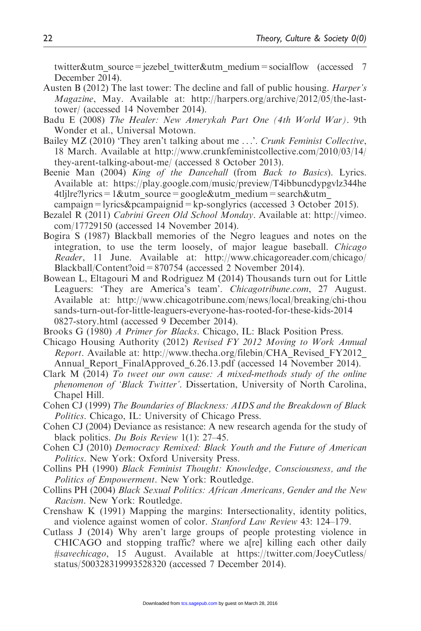[twitter&utm\\_source=jezebel\\_twitter&utm\\_medium=socialflow](http://jezebel.com/r-kelly-s-Black-panties-is-a-magnificent-ode-to-puss-1475010061?utm_campaign=socialfow_jezebel_twitter&utm_source=jezebel_twitter&utm_medium=socialflow) (accessed 7) December 2014).

- Austen B (2012) The last tower: The decline and fall of public housing. Harper's Magazine, May. Available at: [http://harpers.org/archive/2012/05/the-last](http://harpers.org/archive/2012/05/the-last-tower/)[tower/](http://harpers.org/archive/2012/05/the-last-tower/) (accessed 14 November 2014).
- Badu E (2008) The Healer: New Amerykah Part One (4th World War). 9th Wonder et al., Universal Motown.
- Bailey MZ (2010) 'They aren't talking about me ...'. Crunk Feminist Collective, 18 March. Available at [http://www.crunkfeministcollective.com/2010/03/14/](http://www.crunkfeministcollective.com/2010/03/14/they-arent-talking-about-me/) [they-arent-talking-about-me/](http://www.crunkfeministcollective.com/2010/03/14/they-arent-talking-about-me/) (accessed 8 October 2013).
- Beenie Man (2004) King of the Dancehall (from Back to Basics). Lyrics. Available at: [https://play.google.com/music/preview/T4ibbuncdypgvlz344he](https://play.google.com/music/preview/T4ibbuncdypgvlz344he4tljlre?lyrics=1&utm_source=google&utm_medium=search&utm_campaign=lyrics&pcampaignid=kp-songlyrics) [4tljlre?lyrics=1&utm\\_source=google&utm\\_medium=search&utm\\_](https://play.google.com/music/preview/T4ibbuncdypgvlz344he4tljlre?lyrics=1&utm_source=google&utm_medium=search&utm_campaign=lyrics&pcampaignid=kp-songlyrics)  $c$ ampaign=lyrics&pcampaignid=kp-songlyrics (accessed 3 October 2015).
- Bezalel R (2011) Cabrini Green Old School Monday. Available at: [http://vimeo.](http://vimeo.com/17729150) [com/17729150](http://vimeo.com/17729150) (accessed 14 November 2014).
- Bogira S (1987) Blackball memories of the Negro leagues and notes on the integration, to use the term loosely, of major league baseball. Chicago Reader, 11 June. Available at: [http://www.chicagoreader.com/chicago/](http://www.chicagoreader.com/chicago/Blackball/Content?oid=870754) [Blackball/Content?oid=870754](http://www.chicagoreader.com/chicago/Blackball/Content?oid=870754) (accessed 2 November 2014).
- Bowean L, Eltagouri M and Rodriguez M (2014) Thousands turn out for Little Leaguers: 'They are America's team'. Chicagotribune.com, 27 August. Available at: [http://www.chicagotribune.com/news/local/breaking/chi-thou](http://www.chicagotribune.com/news/local/breaking/chi-thousands-turn-out-for-little-leaguers-everyone-has-rooted-for-these-kids-20140827-story.html) [sands-turn-out-for-little-leaguers-everyone-has-rooted-for-these-kids-2014](http://www.chicagotribune.com/news/local/breaking/chi-thousands-turn-out-for-little-leaguers-everyone-has-rooted-for-these-kids-20140827-story.html) [0827-story.html](http://www.chicagotribune.com/news/local/breaking/chi-thousands-turn-out-for-little-leaguers-everyone-has-rooted-for-these-kids-20140827-story.html) (accessed 9 December 2014).
- Brooks G (1980) A Primer for Blacks. Chicago, IL: Black Position Press.
- Chicago Housing Authority (2012) Revised FY 2012 Moving to Work Annual Report. Available at: [http://www.thecha.org/filebin/CHA\\_Revised\\_FY2012\\_](http://www.thecha.org/filebin/CHA_Revised_FY2012_Annual_Report_FinalApproved_6.26.13.pdf) Annual Report FinalApproved 6.26.13.pdf (accessed 14 November 2014).
- Clark M (2014) To tweet our own cause: A mixed-methods study of the online phenomenon of 'Black Twitter'. Dissertation, University of North Carolina, Chapel Hill.
- Cohen CJ (1999) The Boundaries of Blackness: AIDS and the Breakdown of Black Politics. Chicago, IL: University of Chicago Press.
- Cohen CJ (2004) Deviance as resistance: A new research agenda for the study of black politics. Du Bois Review 1(1): 27–45.
- Cohen CJ (2010) Democracy Remixed: Black Youth and the Future of American Politics. New York: Oxford University Press.
- Collins PH (1990) Black Feminist Thought: Knowledge, Consciousness, and the Politics of Empowerment. New York: Routledge.
- Collins PH (2004) Black Sexual Politics: African Americans, Gender and the New Racism. New York: Routledge.
- Crenshaw K (1991) Mapping the margins: Intersectionality, identity politics, and violence against women of color. Stanford Law Review 43: 124–179.
- Cutlass J (2014) Why aren't large groups of people protesting violence in CHICAGO and stopping traffic? where we a[re] killing each other daily #savechicago, 15 August. Available at [https://twitter.com/JoeyCutless/](https://twitter.com/JoeyCutless/status/500328319993528320) [status/500328319993528320](https://twitter.com/JoeyCutless/status/500328319993528320) (accessed 7 December 2014).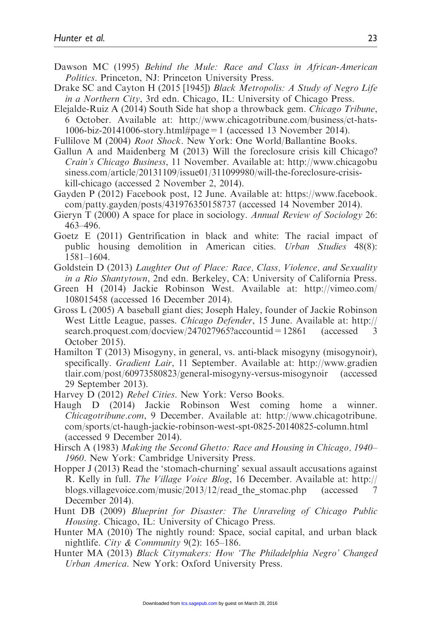- Dawson MC (1995) Behind the Mule: Race and Class in African-American Politics. Princeton, NJ: Princeton University Press.
- Drake SC and Cayton H (2015 [1945]) Black Metropolis: A Study of Negro Life in a Northern City, 3rd edn. Chicago, IL: University of Chicago Press.
- Elejalde-Ruiz A (2014) South Side hat shop a throwback gem. Chicago Tribune, 6 October. Available at: [http://www.chicagotribune.com/business/ct-hats-](http://www.chicagotribune.com/business/ct-hats-1006-biz-20141006-story.html#page=1) $1006-b$ iz-20141006-story.html#page=1 (accessed 13 November 2014).

Fullilove M (2004) Root Shock. New York: One World/Ballantine Books.

- Gallun A and Maidenberg M (2013) Will the foreclosure crisis kill Chicago? Crain's Chicago Business, 11 November. Available at: [http://www.chicagobu](http://www.chicagobusiness.com/article/20131109/issue01/311099980/will-the-foreclosure-crisis-kill-chicago) [siness.com/article/20131109/issue01/311099980/will-the-foreclosure-crisis](http://www.chicagobusiness.com/article/20131109/issue01/311099980/will-the-foreclosure-crisis-kill-chicago)[kill-chicago](http://www.chicagobusiness.com/article/20131109/issue01/311099980/will-the-foreclosure-crisis-kill-chicago) (accessed 2 November 2, 2014).
- Gayden P (2012) Facebook post, 12 June. Available at: [https://www.facebook.](https://www.facebook.com/patty.gayden/posts/431976350158737) [com/patty.gayden/posts/431976350158737](https://www.facebook.com/patty.gayden/posts/431976350158737) (accessed 14 November 2014).
- Gieryn T (2000) A space for place in sociology. Annual Review of Sociology 26: 463–496.
- Goetz E (2011) Gentrification in black and white: The racial impact of public housing demolition in American cities. Urban Studies 48(8): 1581–1604.
- Goldstein D (2013) Laughter Out of Place: Race, Class, Violence, and Sexuality in a Rio Shantytown, 2nd edn. Berkeley, CA: University of California Press.
- Green H (2014) Jackie Robinson West. Available at: [http://vimeo.com/](http://vimeo.com/108015458) [108015458](http://vimeo.com/108015458) (accessed 16 December 2014).
- Gross L (2005) A baseball giant dies; Joseph Haley, founder of Jackie Robinson West Little League, passes. *Chicago Defender*, 15 June. Available at: [http://](http://search.proquest.com/docview/247027965?accountid=12861) [search.proquest.com/docview/247027965?accountid=12861](http://search.proquest.com/docview/247027965?accountid=12861) (accessed 3 October 2015).
- Hamilton T (2013) Misogyny, in general, vs. anti-black misogyny (misogynoir), specifically. Gradient Lair, 11 September. Available at: [http://www.gradien](http://www.gradientlair.com/post/60973580823/general-misogyny-versus-misogynoir) [tlair.com/post/60973580823/general-misogyny-versus-misogynoir](http://www.gradientlair.com/post/60973580823/general-misogyny-versus-misogynoir) (accessed 29 September 2013).
- Harvey D (2012) Rebel Cities. New York: Verso Books.
- Haugh D (2014) Jackie Robinson West coming home a winner. Chicagotribune.com, 9 December. Available at: [http://www.chicagotribune.](http://www.chicagotribune.com/sports/ct-haugh-jackie-robinson-west-spt-0825-20140825-column.html) [com/sports/ct-haugh-jackie-robinson-west-spt-0825-20140825-column.html](http://www.chicagotribune.com/sports/ct-haugh-jackie-robinson-west-spt-0825-20140825-column.html) (accessed 9 December 2014).
- Hirsch A (1983) Making the Second Ghetto: Race and Housing in Chicago, 1940– 1960. New York: Cambridge University Press.
- Hopper J (2013) Read the 'stomach-churning' sexual assault accusations against R. Kelly in full. The Village Voice Blog, 16 December. Available at: [http://](http://blogs.villagevoice.com/music/2013/12/read_the_stomac.php) blogs.villagevoice.com/music/2013/12/read the stomac.php (accessed  $7$ December 2014).
- Hunt DB (2009) Blueprint for Disaster: The Unraveling of Chicago Public Housing. Chicago, IL: University of Chicago Press.
- Hunter MA (2010) The nightly round: Space, social capital, and urban black nightlife. City & Community  $9(2)$ : 165–186.
- Hunter MA (2013) Black Citymakers: How 'The Philadelphia Negro' Changed Urban America. New York: Oxford University Press.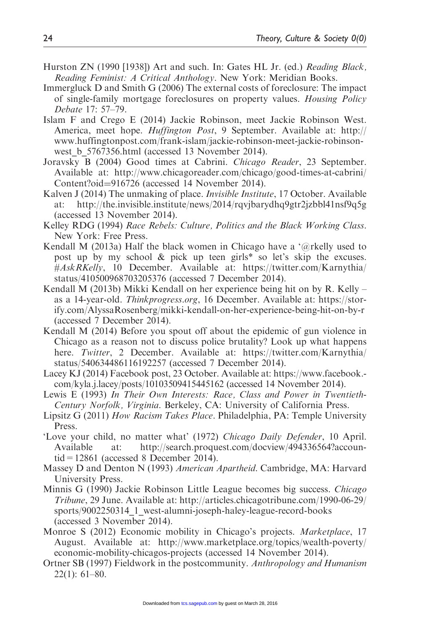- Hurston ZN (1990 [1938]) Art and such. In: Gates HL Jr. (ed.) Reading Black. Reading Feminist: A Critical Anthology. New York: Meridian Books.
- Immergluck D and Smith G (2006) The external costs of foreclosure: The impact of single-family mortgage foreclosures on property values. Housing Policy Debate 17: 57–79.
- Islam F and Crego E (2014) Jackie Robinson, meet Jackie Robinson West. America, meet hope. *Huffington Post*, 9 September. Available at: [http://](http://www.huffingtonpost.com/frank-islam/jackie-robinson-meet-jackie-robinson-west_b_5767356.html) [www.huffingtonpost.com/frank-islam/jackie-robinson-meet-jackie-robinson](http://www.huffingtonpost.com/frank-islam/jackie-robinson-meet-jackie-robinson-west_b_5767356.html)west b 5767356.html (accessed 13 November 2014).
- Joravsky B (2004) Good times at Cabrini. Chicago Reader, 23 September. Available at: [http://www.chicagoreader.com/chicago/good-times-at-cabrini/](http://www.chicagoreader.com/chicago/good-times-at-cabrini/Content?oid=916726) [Content?oid](http://www.chicagoreader.com/chicago/good-times-at-cabrini/Content?oid=916726)=[916726](http://www.chicagoreader.com/chicago/good-times-at-cabrini/Content?oid=916726) (accessed 14 November 2014).
- Kalven J (2014) The unmaking of place. *Invisible Institute*, 17 October. Available at:<http://the.invisible.institute/news/2014/rqvjbarydhq9gtr2jzbbl41nsf9q5g> (accessed 13 November 2014).
- Kelley RDG (1994) Race Rebels: Culture, Politics and the Black Working Class. New York: Free Press.
- Kendall M (2013a) Half the black women in Chicago have a ' $\hat{\alpha}$ rkelly used to post up by my school & pick up teen girls\* so let's skip the excuses. #AskRKelly, 10 December. Available at: [https://twitter.com/Karnythia/](https://twitter.com/Karnythia/status/410500968703205376) [status/410500968703205376](https://twitter.com/Karnythia/status/410500968703205376) (accessed 7 December 2014).
- Kendall M (2013b) Mikki Kendall on her experience being hit on by R. Kelly as a 14-year-old. Thinkprogress.org, 16 December. Available at: [https://stor](https://storify.com/AlyssaRosenberg/mikki-kendall-on-her-experience-being-hit-on-by-r)[ify.com/AlyssaRosenberg/mikki-kendall-on-her-experience-being-hit-on-by-r](https://storify.com/AlyssaRosenberg/mikki-kendall-on-her-experience-being-hit-on-by-r) (accessed 7 December 2014).
- Kendall M (2014) Before you spout off about the epidemic of gun violence in Chicago as a reason not to discuss police brutality? Look up what happens here. Twitter, 2 December. Available at: [https://twitter.com/Karnythia/](https://twitter.com/Karnythia/status/540634486116192257) [status/540634486116192257](https://twitter.com/Karnythia/status/540634486116192257) (accessed 7 December 2014).
- Lacey KJ (2014) Facebook post, 23 October. Available at: [https://www.facebook.](https://www.facebook.com/kyla.j.lacey/posts/10103509415445162) [com/kyla.j.lacey/posts/10103509415445162](https://www.facebook.com/kyla.j.lacey/posts/10103509415445162) (accessed 14 November 2014).
- Lewis E (1993) In Their Own Interests: Race, Class and Power in Twentieth-Century Norfolk, Virginia. Berkeley, CA: University of California Press.
- Lipsitz G (2011) How Racism Takes Place. Philadelphia, PA: Temple University Press.
- 'Love your child, no matter what' (1972) Chicago Daily Defender, 10 April. Available at: [http://search.proquest.com/docview/494336564?accoun](http://search.proquest.com/docview/494336564?accountid=12861) $tid = 12861$  (accessed 8 December 2014).
- Massey D and Denton N (1993) American Apartheid. Cambridge, MA: Harvard University Press.
- Minnis G (1990) Jackie Robinson Little League becomes big success. Chicago Tribune, 29 June. Available at: [http://articles.chicagotribune.com/1990-06-29/](http://articles.chicagotribune.com/1990-06-29/sports/9002250314_1_west-alumni-joseph-haley-league-record-books) [sports/9002250314\\_1\\_west-alumni-joseph-haley-league-record-books](http://articles.chicagotribune.com/1990-06-29/sports/9002250314_1_west-alumni-joseph-haley-league-record-books) (accessed 3 November 2014).
- Monroe S (2012) Economic mobility in Chicago's projects. Marketplace, 17 August. Available at: [http://www.marketplace.org/topics/wealth-poverty/](http://www.marketplace.org/topics/wealth-poverty/economic-mobility-chicagos-projects) [economic-mobility-chicagos-projects](http://www.marketplace.org/topics/wealth-poverty/economic-mobility-chicagos-projects) (accessed 14 November 2014).
- Ortner SB (1997) Fieldwork in the postcommunity. Anthropology and Humanism 22(1): 61–80.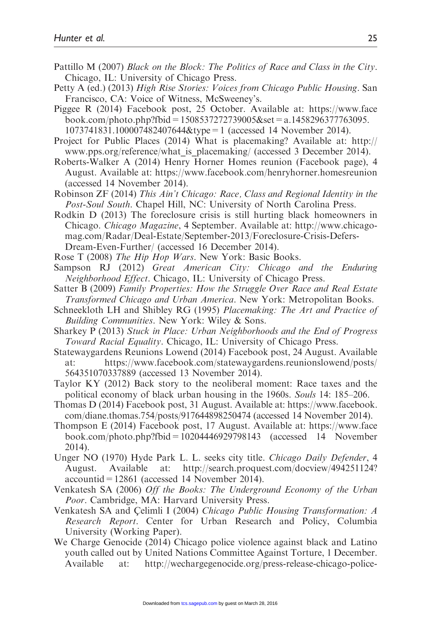- Pattillo M (2007) Black on the Block: The Politics of Race and Class in the City. Chicago, IL: University of Chicago Press.
- Petty A (ed.) (2013) High Rise Stories: Voices from Chicago Public Housing. San Francisco, CA: Voice of Witness, McSweeney's.
- Piggee R (2014) Facebook post, 25 October. Available at: [https://www.face](https://www.facebook.com/photo.php?fbid=1508537272739005&set=a.1458296377763095.1073741831.100007482407644&type=1) [book.com/photo.php?fbid=1508537272739005&set=a.1458296377763095.](https://www.facebook.com/photo.php?fbid=1508537272739005&set=a.1458296377763095.1073741831.100007482407644&type=1) [1073741831.100007482407644&type=1](https://www.facebook.com/photo.php?fbid=1508537272739005&set=a.1458296377763095.1073741831.100007482407644&type=1) (accessed 14 November 2014).
- Project for Public Places (2014) What is placemaking? Available at: [http://](http://www.pps.org/reference/what_is_placemaking/) [www.pps.org/reference/what\\_is\\_placemaking/](http://www.pps.org/reference/what_is_placemaking/) (accessed 3 December 2014).
- Roberts-Walker A (2014) Henry Horner Homes reunion (Facebook page), 4 August. Available at:<https://www.facebook.com/henryhorner.homesreunion> (accessed 14 November 2014).
- Robinson ZF (2014) This Ain't Chicago: Race, Class and Regional Identity in the Post-Soul South. Chapel Hill, NC: University of North Carolina Press.
- Rodkin D (2013) The foreclosure crisis is still hurting black homeowners in Chicago. Chicago Magazine, 4 September. Available at: [http://www.chicago](http://www.chicagomag.com/Radar/Deal-Estate/September-2013/Foreclosure-Crisis-Defers-Dream-Even-Further/)[mag.com/Radar/Deal-Estate/September-2013/Foreclosure-Crisis-Defers-](http://www.chicagomag.com/Radar/Deal-Estate/September-2013/Foreclosure-Crisis-Defers-Dream-Even-Further/)[Dream-Even-Further/](http://www.chicagomag.com/Radar/Deal-Estate/September-2013/Foreclosure-Crisis-Defers-Dream-Even-Further/) (accessed 16 December 2014).
- Rose T (2008) The Hip Hop Wars. New York: Basic Books.
- Sampson RJ (2012) Great American City: Chicago and the Enduring Neighborhood Effect. Chicago, IL: University of Chicago Press.
- Satter B (2009) Family Properties: How the Struggle Over Race and Real Estate Transformed Chicago and Urban America. New York: Metropolitan Books.
- Schneekloth LH and Shibley RG (1995) Placemaking: The Art and Practice of Building Communities. New York: Wiley & Sons.
- Sharkey P (2013) Stuck in Place: Urban Neighborhoods and the End of Progress Toward Racial Equality. Chicago, IL: University of Chicago Press.
- Statewaygardens Reunions Lowend (2014) Facebook post, 24 August. Available at: [https://www.facebook.com/statewaygardens.reunionslowend/posts/](https://www.facebook.com/statewaygardens.reunionslowend/posts/564351070337889) [564351070337889](https://www.facebook.com/statewaygardens.reunionslowend/posts/564351070337889) (accessed 13 November 2014).
- Taylor KY (2012) Back story to the neoliberal moment: Race taxes and the political economy of black urban housing in the 1960s. Souls 14: 185–206.
- Thomas D (2014) Facebook post, 31 August. Available at: [https://www.facebook.](https://www.facebook.com/diane.thomas.754/posts/917644898250474) [com/diane.thomas.754/posts/917644898250474](https://www.facebook.com/diane.thomas.754/posts/917644898250474) (accessed 14 November 2014).
- Thompson E (2014) Facebook post, 17 August. Available at: [https://www.face](https://www.facebook.com/photo.php?fbid=10204446929798143) [book.com/photo.php?fbid=10204446929798143](https://www.facebook.com/photo.php?fbid=10204446929798143) (accessed 14 November 2014).
- Unger NO (1970) Hyde Park L. L. seeks city title. Chicago Daily Defender, 4 August. Available at: [http://search.proquest.com/docview/494251124?](http://search.proquest.com/docview/494251124?accountid=12861) [accountid=12861](http://search.proquest.com/docview/494251124?accountid=12861) (accessed 14 November 2014).
- Venkatesh SA (2006) Off the Books: The Underground Economy of the Urban Poor. Cambridge, MA: Harvard University Press.
- Venkatesh SA and Çelimli I (2004) Chicago Public Housing Transformation: A Research Report. Center for Urban Research and Policy, Columbia University (Working Paper).
- We Charge Genocide (2014) Chicago police violence against black and Latino youth called out by United Nations Committee Against Torture, 1 December. Available at: [http://wechargegenocide.org/press-release-chicago-police-](http://wechargegenocide.org/press-release-chicago-police-violence-against-Black-and-latino-youth-called-out-by-united-nations-committee-against-torture/)